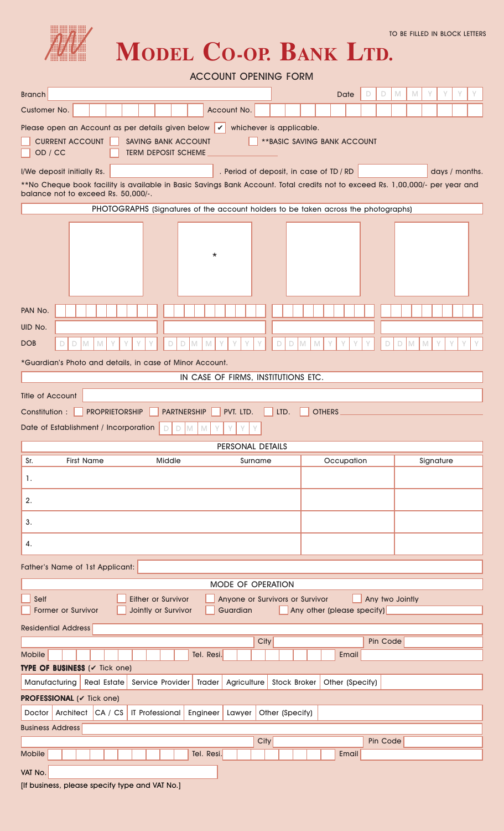

**MODEL CO-OP. BANK LTD.**

| <b>ACCOUNT OPENING FORM</b>                                                                                                                                                                                                        |                     |                                            |                            |   |          |                 |                            |                |  |  |
|------------------------------------------------------------------------------------------------------------------------------------------------------------------------------------------------------------------------------------|---------------------|--------------------------------------------|----------------------------|---|----------|-----------------|----------------------------|----------------|--|--|
| <b>Branch</b>                                                                                                                                                                                                                      |                     |                                            | Date                       | D | D        | M               | Υ<br>M                     |                |  |  |
| Customer No.<br>Account No.                                                                                                                                                                                                        |                     |                                            |                            |   |          |                 |                            |                |  |  |
| Please open an Account as per details given below $\mathcal V$<br>whichever is applicable.<br><b>CURRENT ACCOUNT</b><br><b>SAVING BANK ACCOUNT</b><br><b>** BASIC SAVING BANK ACCOUNT</b><br>OD / CC<br><b>TERM DEPOSIT SCHEME</b> |                     |                                            |                            |   |          |                 |                            |                |  |  |
| . Period of deposit, in case of TD / RD<br>I/We deposit initially Rs.                                                                                                                                                              |                     |                                            |                            |   |          |                 |                            | days / months. |  |  |
| **No Cheque book facility is available in Basic Savings Bank Account. Total credits not to exceed Rs. 1,00,000/- per year and<br>balance not to exceed Rs. 50,000/-.                                                               |                     |                                            |                            |   |          |                 |                            |                |  |  |
| PHOTOGRAPHS (Signatures of the account holders to be taken across the photographs)                                                                                                                                                 |                     |                                            |                            |   |          |                 |                            |                |  |  |
| $\star$                                                                                                                                                                                                                            |                     |                                            |                            |   |          |                 |                            |                |  |  |
| PAN No.                                                                                                                                                                                                                            |                     |                                            |                            |   |          |                 |                            |                |  |  |
| UID No.                                                                                                                                                                                                                            |                     |                                            |                            |   |          |                 |                            |                |  |  |
| Y<br>D<br><b>DOB</b><br>$\mathbb N$<br>γ<br>Y<br>$\Box$<br>M<br>$\mathbb N$<br>D<br>M                                                                                                                                              | $\Box$<br>D<br>M    | $\mathbb{M}% ^{2}/\mathbb{Z}_{k}^{2}$<br>Υ |                            |   | D        | $\Box$          | $\mathbb N$<br>$\mathbb N$ |                |  |  |
| *Guardian's Photo and details, in case of Minor Account.                                                                                                                                                                           |                     |                                            |                            |   |          |                 |                            |                |  |  |
| IN CASE OF FIRMS, INSTITUTIONS ETC.                                                                                                                                                                                                |                     |                                            |                            |   |          |                 |                            |                |  |  |
| Title of Account                                                                                                                                                                                                                   |                     |                                            |                            |   |          |                 |                            |                |  |  |
| PVT. LTD.<br><b>PROPRIETORSHIP</b><br><b>PARTNERSHIP</b><br>Constitution :                                                                                                                                                         | LTD.                | <b>OTHERS</b>                              |                            |   |          |                 |                            |                |  |  |
| Date of Establishment / Incorporation<br>M<br>M<br>D                                                                                                                                                                               |                     |                                            |                            |   |          |                 |                            |                |  |  |
| PERSONAL DETAILS                                                                                                                                                                                                                   |                     |                                            |                            |   |          |                 |                            |                |  |  |
| Sr.<br><b>First Name</b><br><b>Middle</b><br>Surname                                                                                                                                                                               |                     |                                            | Occupation                 |   |          |                 |                            | Signature      |  |  |
| 1.                                                                                                                                                                                                                                 |                     |                                            |                            |   |          |                 |                            |                |  |  |
|                                                                                                                                                                                                                                    |                     |                                            |                            |   |          |                 |                            |                |  |  |
| 2.                                                                                                                                                                                                                                 |                     |                                            |                            |   |          |                 |                            |                |  |  |
| 3.                                                                                                                                                                                                                                 |                     |                                            |                            |   |          |                 |                            |                |  |  |
| 4.                                                                                                                                                                                                                                 |                     |                                            |                            |   |          |                 |                            |                |  |  |
| Father's Name of 1st Applicant:                                                                                                                                                                                                    |                     |                                            |                            |   |          |                 |                            |                |  |  |
| MODE OF OPERATION                                                                                                                                                                                                                  |                     |                                            |                            |   |          |                 |                            |                |  |  |
| Self<br><b>Either or Survivor</b><br>Anyone or Survivors or Survivor<br>Guardian<br><b>Former or Survivor</b><br>Jointly or Survivor                                                                                               |                     |                                            | Any other (please specify) |   |          | Any two Jointly |                            |                |  |  |
| <b>Residential Address</b>                                                                                                                                                                                                         |                     |                                            |                            |   |          |                 |                            |                |  |  |
| City                                                                                                                                                                                                                               |                     |                                            |                            |   | Pin Code |                 |                            |                |  |  |
| Mobile<br>Tel. Resi.                                                                                                                                                                                                               |                     |                                            | Email                      |   |          |                 |                            |                |  |  |
| TYPE OF BUSINESS (V Tick one)<br><b>Real Estate</b><br>Service Provider<br>Trader<br>Agriculture<br>Manufacturing                                                                                                                  | <b>Stock Broker</b> |                                            | Other (Specify)            |   |          |                 |                            |                |  |  |
| <b>PROFESSIONAL (v Tick one)</b>                                                                                                                                                                                                   |                     |                                            |                            |   |          |                 |                            |                |  |  |
| Doctor Architect CA / CS<br><b>IT Professional</b><br>Engineer<br>Other (Specify)<br>Lawyer                                                                                                                                        |                     |                                            |                            |   |          |                 |                            |                |  |  |
| <b>Business Address</b>                                                                                                                                                                                                            |                     |                                            |                            |   |          |                 |                            |                |  |  |
| City                                                                                                                                                                                                                               |                     |                                            |                            |   | Pin Code |                 |                            |                |  |  |
| Mobile<br>Tel. Resi.                                                                                                                                                                                                               |                     |                                            | Email                      |   |          |                 |                            |                |  |  |
| VAT No.                                                                                                                                                                                                                            |                     |                                            |                            |   |          |                 |                            |                |  |  |
| [If business, please specify type and VAT No.]                                                                                                                                                                                     |                     |                                            |                            |   |          |                 |                            |                |  |  |